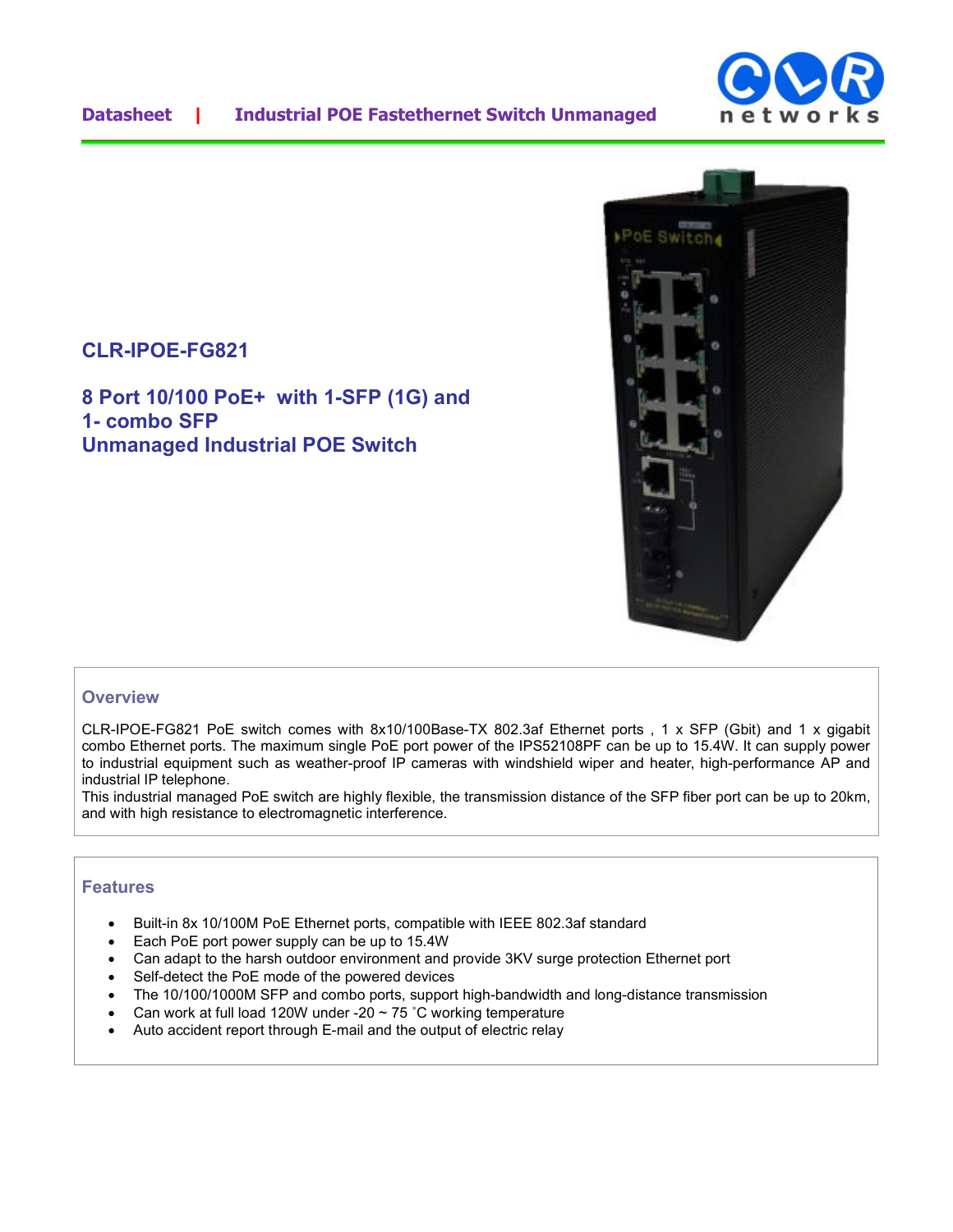

## **CLR-IPOE-FG821**

**8 Port 10/100 PoE+ with 1-SFP (1G) and 1- combo SFP Unmanaged Industrial POE Switch** 



## **Overview**

CLR-IPOE-FG821 PoE switch comes with 8x10/100Base-TX 802.3af Ethernet ports , 1 x SFP (Gbit) and 1 x gigabit combo Ethernet ports. The maximum single PoE port power of the IPS52108PF can be up to 15.4W. It can supply power to industrial equipment such as weather-proof IP cameras with windshield wiper and heater, high-performance AP and industrial IP telephone.

This industrial managed PoE switch are highly flexible, the transmission distance of the SFP fiber port can be up to 20km, and with high resistance to electromagnetic interference.

## **Features**

- Built-in 8x 10/100M PoE Ethernet ports, compatible with IEEE 802.3af standard
- Each PoE port power supply can be up to 15.4W
- Can adapt to the harsh outdoor environment and provide 3KV surge protection Ethernet port
- Self-detect the PoE mode of the powered devices
- The 10/100/1000M SFP and combo ports, support high-bandwidth and long-distance transmission
- Can work at full load 120W under -20  $\sim$  75 °C working temperature
- Auto accident report through E-mail and the output of electric relay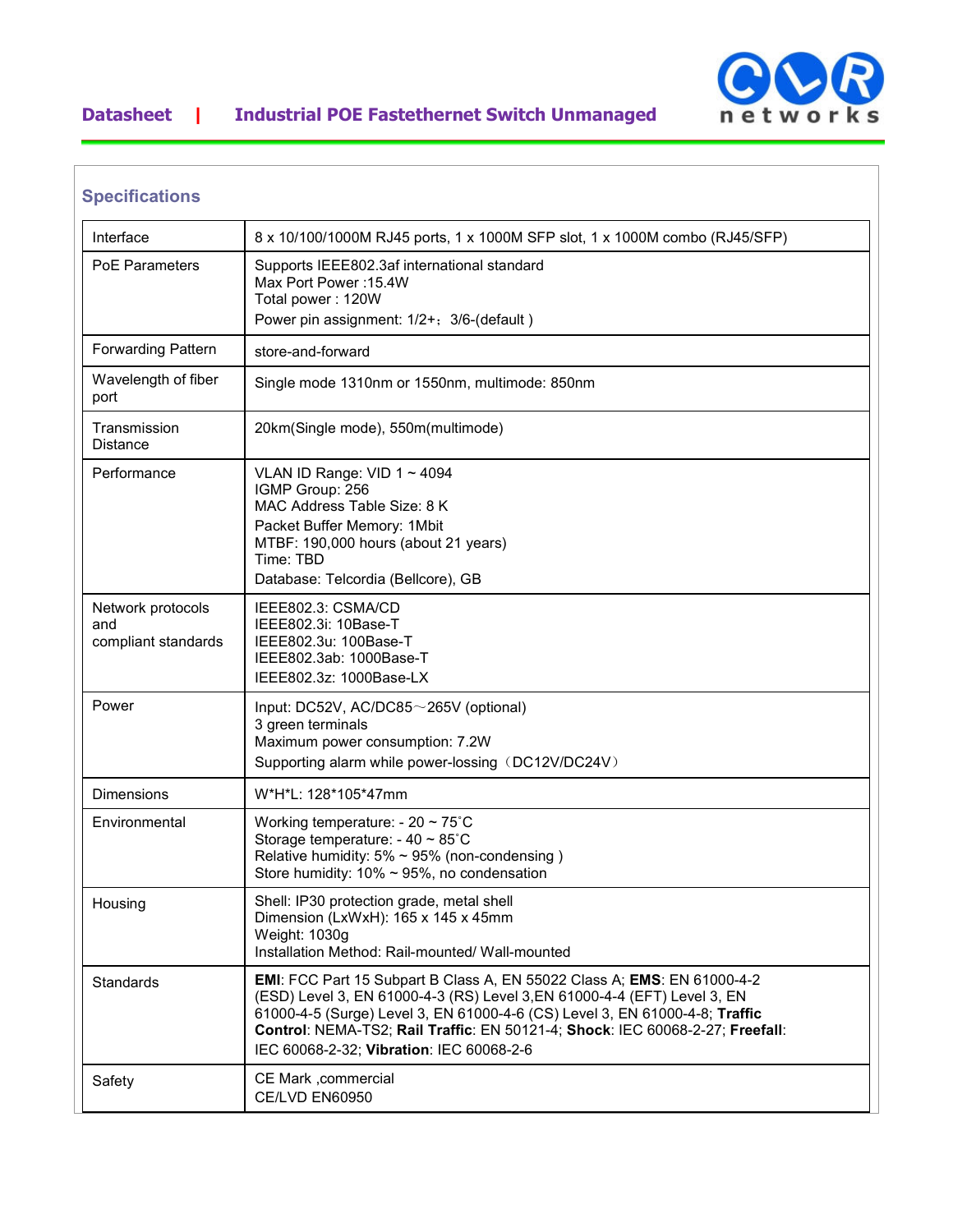

## **Datasheet | Industrial POE Fastethernet Switch Unmanaged**

| Interface                                       | 8 x 10/100/1000M RJ45 ports, 1 x 1000M SFP slot, 1 x 1000M combo (RJ45/SFP)                                                                                                                                                                                                                                                                                     |
|-------------------------------------------------|-----------------------------------------------------------------------------------------------------------------------------------------------------------------------------------------------------------------------------------------------------------------------------------------------------------------------------------------------------------------|
| PoF Parameters                                  | Supports IEEE802.3af international standard<br>Max Port Power: 15.4W<br>Total power: 120W<br>Power pin assignment: 1/2+; 3/6-(default)                                                                                                                                                                                                                          |
| <b>Forwarding Pattern</b>                       | store-and-forward                                                                                                                                                                                                                                                                                                                                               |
| Wavelength of fiber<br>port                     | Single mode 1310nm or 1550nm, multimode: 850nm                                                                                                                                                                                                                                                                                                                  |
| Transmission<br>Distance                        | 20km(Single mode), 550m(multimode)                                                                                                                                                                                                                                                                                                                              |
| Performance                                     | VLAN ID Range: VID $1 \sim 4094$<br>IGMP Group: 256<br>MAC Address Table Size: 8 K<br>Packet Buffer Memory: 1Mbit<br>MTBF: 190,000 hours (about 21 years)<br>Time: TBD<br>Database: Telcordia (Bellcore), GB                                                                                                                                                    |
| Network protocols<br>and<br>compliant standards | IEEE802.3: CSMA/CD<br>IEEE802.3i: 10Base-T<br>IEEE802.3u: 100Base-T<br>IEEE802.3ab: 1000Base-T<br>IEEE802.3z: 1000Base-LX                                                                                                                                                                                                                                       |
| Power                                           | Input: DC52V, AC/DC85~265V (optional)<br>3 green terminals<br>Maximum power consumption: 7.2W<br>Supporting alarm while power-lossing (DC12V/DC24V)                                                                                                                                                                                                             |
| Dimensions                                      | W*H*L: 128*105*47mm                                                                                                                                                                                                                                                                                                                                             |
| Environmental                                   | Working temperature: - 20 $\sim$ 75°C<br>Storage temperature: $-40 \sim 85^{\circ}$ C<br>Relative humidity: $5\% \sim 95\%$ (non-condensing)<br>Store humidity: $10\% \sim 95\%$ , no condensation                                                                                                                                                              |
| Housing                                         | Shell: IP30 protection grade, metal shell<br>Dimension (LxWxH): 165 x 145 x 45mm<br>Weight: 1030g<br>Installation Method: Rail-mounted/ Wall-mounted                                                                                                                                                                                                            |
| Standards                                       | EMI: FCC Part 15 Subpart B Class A, EN 55022 Class A; EMS: EN 61000-4-2<br>(ESD) Level 3, EN 61000-4-3 (RS) Level 3, EN 61000-4-4 (EFT) Level 3, EN<br>61000-4-5 (Surge) Level 3, EN 61000-4-6 (CS) Level 3, EN 61000-4-8; Traffic<br>Control: NEMA-TS2; Rail Traffic: EN 50121-4; Shock: IEC 60068-2-27; Freefall:<br>IEC 60068-2-32; Vibration: IEC 60068-2-6 |
| Safety                                          | CE Mark ,commercial<br>CE/LVD EN60950                                                                                                                                                                                                                                                                                                                           |